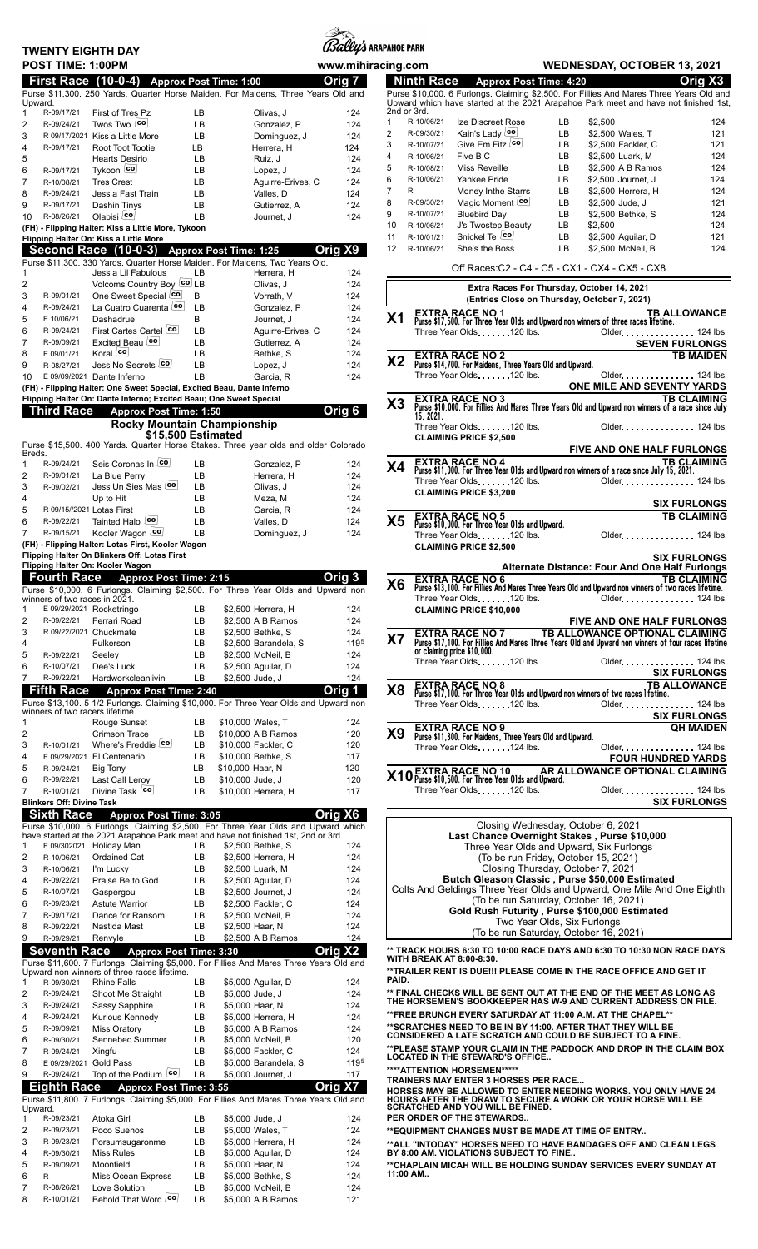| <b>TWENTY EIGHTH DAY</b>                          |                                                                                                                                        |            |                                         | <i>(Bally's</i> arapahoe park |                  |                          |                                                                                       |          |                                                                                                                                                                                      |                       |
|---------------------------------------------------|----------------------------------------------------------------------------------------------------------------------------------------|------------|-----------------------------------------|-------------------------------|------------------|--------------------------|---------------------------------------------------------------------------------------|----------|--------------------------------------------------------------------------------------------------------------------------------------------------------------------------------------|-----------------------|
| POST TIME: 1:00PM                                 |                                                                                                                                        |            |                                         | www.mihiracing.com            |                  |                          |                                                                                       |          | <b>WEDNESDAY, OCTOBER 13, 2021</b>                                                                                                                                                   |                       |
| <b>First Race (10-0-4)</b>                        |                                                                                                                                        |            | <b>Approx Post Time: 1:00</b>           | Orig 7                        |                  | <b>Ninth Race</b>        | Approx Post Time: 4:20                                                                |          |                                                                                                                                                                                      | Orig X3               |
| Upward.                                           | Purse \$11,300. 250 Yards. Quarter Horse Maiden. For Maidens, Three Years Old and                                                      |            |                                         |                               |                  |                          |                                                                                       |          | Purse \$10,000. 6 Furlongs. Claiming \$2,500. For Fillies And Mares Three Years Old a<br>Upward which have started at the 2021 Arapahoe Park meet and have not finished 1            |                       |
| $\mathbf{1}$<br>R-09/17/21                        | First of Tres Pz                                                                                                                       | LВ         | Olivas, J                               | 124                           | 2nd or 3rd.<br>1 | R-10/06/21               | Ize Discreet Rose                                                                     | LВ       | \$2,500                                                                                                                                                                              | 12                    |
| $\overline{2}$<br>R-09/24/21<br>3                 | Twos Two co<br>R 09/17/2021 Kiss a Little More                                                                                         | LB<br>LB   | Gonzalez, P<br>Dominguez, J             | 124<br>124                    | 2                | R-09/30/21               | Kain's Lady co                                                                        | LB       | \$2,500 Wales, T                                                                                                                                                                     | 12                    |
| $\overline{4}$<br>R-09/17/21                      | Root Toot Tootie                                                                                                                       | LB         | Herrera, H                              | 124                           | 3                | R-10/07/21               | Give Em Fitz Co                                                                       | LB       | \$2,500 Fackler, C                                                                                                                                                                   | 12                    |
| 5                                                 | <b>Hearts Desirio</b>                                                                                                                  | LВ         | Ruiz, J                                 | 124                           | 4                | R-10/06/21               | Five B C                                                                              | LB       | \$2,500 Luark, M                                                                                                                                                                     | 12                    |
| 6<br>R-09/17/21<br>7<br>R-10/08/21                | Tykoon co<br><b>Tres Crest</b>                                                                                                         | LB<br>LB   | Lopez. J                                | 124<br>124                    | 5<br>6           | R-10/08/21<br>R-10/06/21 | Miss Reveille<br>Yankee Pride                                                         | LB<br>LВ | \$2,500 A B Ramos<br>\$2,500 Journet, J                                                                                                                                              | 12<br>12 <sub>1</sub> |
| 8<br>R-09/24/21                                   | Jess a Fast Train                                                                                                                      | LB         | Aguirre-Erives, C<br>Valles, D          | 124                           | 7                | R                        | Money Inthe Starrs                                                                    | LB       | \$2,500 Herrera, H                                                                                                                                                                   | 12                    |
| 9<br>R-09/17/21                                   | Dashin Tinys                                                                                                                           | <b>LB</b>  | Gutierrez, A                            | 124                           | 8                | R-09/30/21               | Magic Moment co                                                                       | LB       | \$2,500 Jude, J                                                                                                                                                                      | 12                    |
| R-08/26/21<br>10                                  | Olabisi <sup>[co]</sup>                                                                                                                | LB         | Journet, J                              | 124                           | 9<br>10          | R-10/07/21<br>R-10/06/21 | <b>Bluebird Day</b><br>J's Twostep Beauty                                             | LB<br>LВ | \$2,500 Bethke, S<br>\$2,500                                                                                                                                                         | 12<br>12              |
|                                                   | (FH) - Flipping Halter: Kiss a Little More, Tykoon<br>Flipping Halter On: Kiss a Little More                                           |            |                                         |                               | 11               | R-10/01/21               | Snickel Te co                                                                         | LB       | \$2,500 Aguilar, D                                                                                                                                                                   | 12                    |
|                                                   | Second Race (10-0-3) Approx Post Time: 1:25                                                                                            |            |                                         | Orig X9                       | 12               | R-10/06/21               | She's the Boss                                                                        | LB       | \$2,500 McNeil, B                                                                                                                                                                    | 12                    |
|                                                   | Purse \$11,300. 330 Yards. Quarter Horse Maiden. For Maidens, Two Years Old.                                                           | LВ         |                                         |                               |                  |                          |                                                                                       |          | Off Races: C2 - C4 - C5 - CX1 - CX4 - CX5 - CX8                                                                                                                                      |                       |
| 1<br>$\overline{2}$                               | Jess a Lil Fabulous<br>Volcoms Country Boy Co LB                                                                                       |            | Herrera, H<br>Olivas, J                 | 124<br>124                    |                  |                          |                                                                                       |          | Extra Races For Thursday, October 14, 2021                                                                                                                                           |                       |
| 3<br>R-09/01/21                                   | One Sweet Special co                                                                                                                   | В          | Vorrath, V                              | 124                           |                  |                          |                                                                                       |          | (Entries Close on Thursday, October 7, 2021)                                                                                                                                         |                       |
| $\overline{4}$<br>R-09/24/21<br>5<br>E 10/06/21   | La Cuatro Cuarenta co<br>Dashadrue                                                                                                     | LB         | Gonzalez, P                             | 124                           | X <sub>1</sub>   |                          |                                                                                       |          | $\begin{array}{ll} \textbf{EXTRA}\textbf{RACE} & \textbf{NO 1} \\ \textbf{Purse 317,500}. \textbf{ For Three Year Olds and Upward non winners of three races lifetime.} \end{array}$ | TB ALLOWANC           |
| 6<br>R-09/24/21                                   | First Cartes Cartel Co                                                                                                                 | В<br>LВ    | Journet, J<br>Aguirre-Erives, C         | 124<br>124                    |                  |                          | Three Year Olds. 120 lbs.                                                             |          | Older. 124 lb                                                                                                                                                                        |                       |
| $\overline{7}$<br>R-09/09/21                      | Excited Beau co                                                                                                                        | LB         | Gutierrez. A                            | 124                           |                  |                          |                                                                                       |          | <b>SEVEN FURLONG</b>                                                                                                                                                                 |                       |
| 8<br>E 09/01/21                                   | Koral co                                                                                                                               | LB         | Bethke, S                               | 124                           | X <sub>2</sub>   |                          | <b>EXTRA RACE NO 2</b>                                                                |          |                                                                                                                                                                                      | <b>TB MAIDE</b>       |
| 9<br>R-08/27/21<br>10                             | Jess No Secrets co<br>E 09/09/2021 Dante Inferno                                                                                       | LB<br>LB   | Lopez, J<br>Garcia, R                   | 124<br>124                    |                  |                          | Purse \$14,700. For Maidens, Three Years Old and Upward.<br>Three Year Olds. 120 lbs. |          | Older. 124 lb                                                                                                                                                                        |                       |
|                                                   | (FH) - Flipping Halter: One Sweet Special, Excited Beau, Dante Inferno                                                                 |            |                                         |                               |                  |                          |                                                                                       |          | ONE MILE AND SEVENTY YARD                                                                                                                                                            |                       |
|                                                   | Flipping Halter On: Dante Inferno; Excited Beau; One Sweet Special                                                                     |            |                                         |                               | X3               |                          | <b>EXTRA RACE NO 3</b>                                                                |          | Purse \$10,000. For Fillies And Mares Three Years Old and Upward non winners of a race since Ju                                                                                      | <b>TB CLAIMIN</b>     |
| <b>Third Race</b>                                 | <b>Approx Post Time: 1:50</b>                                                                                                          |            |                                         | Orig 6                        |                  | 15.2021.                 |                                                                                       |          |                                                                                                                                                                                      |                       |
|                                                   | <b>Rocky Mountain Championship</b><br>\$15,500 Estimated                                                                               |            |                                         |                               |                  |                          | Three Year Olds. 120 lbs.<br><b>CLAIMING PRICE \$2,500</b>                            |          | Older. 124 lb                                                                                                                                                                        |                       |
|                                                   | Purse \$15,500. 400 Yards. Quarter Horse Stakes. Three year olds and older Colorado                                                    |            |                                         |                               |                  |                          |                                                                                       |          | <b>FIVE AND ONE HALF FURLONG</b>                                                                                                                                                     |                       |
| Breds.<br>R-09/24/21<br>-1                        | Seis Coronas In Co                                                                                                                     | LB         | Gonzalez, P                             | 124                           | X4               |                          | <b>EXTRA RACE NO 4</b>                                                                |          |                                                                                                                                                                                      | TB CLAIMIN            |
| 2<br>R-09/01/21                                   | La Blue Perry                                                                                                                          | LB         | Herrera, H                              | 124                           |                  |                          | Three Year Olds. 120 lbs.                                                             |          | Purse \$11,000. For Three Year Olds and Upward non winners of a race since July 15, 2021.<br>Older. 124 lb                                                                           |                       |
| 3<br>R-09/02/21                                   | Jess Un Sies Mas co                                                                                                                    | LB         | Olivas, J                               | 124                           |                  |                          | <b>CLAIMING PRICE \$3,200</b>                                                         |          |                                                                                                                                                                                      |                       |
| 4<br>5                                            | Up to Hit<br>R 09/15//2021 Lotas First                                                                                                 | LB<br>LB   | Meza, M<br>Garcia, R                    | 124<br>124                    |                  |                          |                                                                                       |          |                                                                                                                                                                                      | <b>SIX FURLONG</b>    |
| 6<br>R-09/22/21                                   | Tainted Halo                                                                                                                           | LB         | Valles, D                               | 124                           | X5               |                          | <b>EXTRA RACE NO 5</b><br>Purse \$10,000. For Three Year Olds and Upward.             |          |                                                                                                                                                                                      | <b>TB CLAIMIN</b>     |
| $\overline{7}$<br>R-09/15/21                      | Kooler Wagon [co]                                                                                                                      | LB         | Dominguez, J                            | 124                           |                  |                          | Three Year Olds. 120 lbs.                                                             |          | Older. 124 lb                                                                                                                                                                        |                       |
|                                                   | (FH) - Flipping Halter: Lotas First, Kooler Wagon<br>Flipping Halter On Blinkers Off: Lotas First                                      |            |                                         |                               |                  |                          | <b>CLAIMING PRICE \$2,500</b>                                                         |          |                                                                                                                                                                                      |                       |
|                                                   | Flipping Halter On: Kooler Wagon                                                                                                       |            |                                         |                               |                  |                          |                                                                                       |          | Alternate Distance: Four And One Half Furlong                                                                                                                                        | <b>SIX FURLONG</b>    |
| <b>Fourth Race</b>                                | <b>Approx Post Time: 2:15</b>                                                                                                          |            |                                         | Orig <sub>3</sub>             | X <sub>6</sub>   |                          | <b>EXTRA RACE NO 6</b>                                                                |          |                                                                                                                                                                                      | <b>TB CLAIMIN</b>     |
| winners of two races in 2021.                     | Purse \$10,000. 6 Furlongs. Claiming \$2,500. For Three Year Olds and Upward non                                                       |            |                                         |                               |                  |                          | Three Year Olds. 120 lbs.                                                             |          | Purse \$13,100. For Fillies And Mares Three Years Old and Upward non winners of two races lifetime<br>Older. 124 lb                                                                  |                       |
| -1                                                | E 09/29/2021 Rocketringo                                                                                                               | LВ         | \$2,500 Herrera, H                      | 124                           |                  |                          | <b>CLAIMING PRICE \$10,000</b>                                                        |          |                                                                                                                                                                                      |                       |
| 2<br>R-09/22/21<br>3                              | Ferrari Road<br>R 09/22/2021 Chuckmate                                                                                                 | LB<br>LB   | \$2,500 A B Ramos<br>\$2,500 Bethke, S  | 124<br>124                    |                  |                          |                                                                                       |          | FIVE AND ONE HALF FURLONG                                                                                                                                                            |                       |
| 4                                                 | Fulkerson                                                                                                                              | LB         | \$2,500 Barandela, S                    | 1195                          | X7               |                          | EXTRA RACE NO.7                                                                       |          | TB ALLOWANCE OPTIONAL CLAIMIN<br>Purse \$17,100. For Fillies And Mares Three Years Old and Upward non winners of four races lifetin                                                  |                       |
| 5<br>R-09/22/21                                   | Seeley                                                                                                                                 | LВ         | \$2,500 McNeil, B                       | 124                           |                  |                          | or claiming price \$10,000.<br>Three Year Olds120 lbs.                                |          |                                                                                                                                                                                      |                       |
| 6<br>R-10/07/21                                   | Dee's Luck                                                                                                                             | LB         | \$2,500 Aguilar, D                      | 124                           |                  |                          |                                                                                       |          | Older. 124 lb                                                                                                                                                                        | <b>SIX FURLONG</b>    |
| R-09/22/21<br>$\overline{7}$<br><b>Fifth Race</b> | Hardworkcleanlivin<br><b>Approx Post Time: 2:40</b>                                                                                    | LB         | \$2,500 Jude, J                         | 124<br>Orig 1                 | X <sub>8</sub>   |                          |                                                                                       |          | <b>EXTRA RACE NO 8</b> TB A<br>Purse \$17,100. For Three Year Olds and Upward non winners of two races lifetime.                                                                     | <b>TB ALLOWANC</b>    |
|                                                   | Purse \$13,100. 5 1/2 Furlongs. Claiming \$10,000. For Three Year Olds and Upward non                                                  |            |                                         |                               |                  |                          | Three Year Olds. 120 lbs.                                                             |          | Older. 124 lb                                                                                                                                                                        |                       |
| winners of two racers lifetime.<br>$\mathbf{1}$   | Rouge Sunset                                                                                                                           | LВ         | \$10,000 Wales, T                       | 124                           |                  |                          |                                                                                       |          |                                                                                                                                                                                      | <b>SIX FURLONG</b>    |
| $\overline{2}$                                    | Crimson Trace                                                                                                                          | LВ         | \$10,000 A B Ramos                      | 120                           | X <sub>9</sub>   |                          | <b>EXTRA RACE NO 9</b><br>Purse \$11,300. For Maidens, Three Years Old and Upward.    |          |                                                                                                                                                                                      | <b>QH MAIDE</b>       |
| 3<br>R-10/01/21                                   | Where's Freddie [co]                                                                                                                   | LВ         | \$10,000 Fackler, C                     | 120                           |                  |                          | Three Year Olds. 124 lbs.                                                             |          | Older. 124 lb                                                                                                                                                                        |                       |
| $\overline{4}$                                    | E 09/29/2021 El Centenario                                                                                                             | LВ         | \$10,000 Bethke, S                      | 117                           |                  |                          |                                                                                       |          | <b>FOUR HUNDRED YARD</b>                                                                                                                                                             |                       |
| 5<br>R-09/24/21<br>6<br>R-09/22/21                | <b>Big Tony</b><br>Last Call Leroy                                                                                                     | LB.<br>LB  | \$10,000 Haar, N<br>\$10,000 Jude, J    | 120<br>120                    |                  |                          | X10 EXTRA RACE NO 10 AR AI AIR FOR STRAINING THE Vear Olds and Upward.                |          | AR ALLOWANCE OPTIONAL CLAIMIN                                                                                                                                                        |                       |
| R-10/01/21<br>7                                   | Divine Task co                                                                                                                         | LB         | \$10,000 Herrera, H                     | 117                           |                  |                          | Three Year Olds. 120 lbs.                                                             |          | Older. 124 lb                                                                                                                                                                        |                       |
| <b>Blinkers Off: Divine Task</b>                  |                                                                                                                                        |            |                                         |                               |                  |                          |                                                                                       |          |                                                                                                                                                                                      | <b>SIX FURLONG</b>    |
| <b>Sixth Race</b>                                 | <b>Approx Post Time: 3:05</b><br>Purse \$10,000. 6 Furlongs. Claiming \$2,500. For Three Year Olds and Upward which                    |            |                                         | Orig X6                       |                  |                          |                                                                                       |          | Closing Wednesday, October 6, 2021                                                                                                                                                   |                       |
|                                                   | have started at the 2021 Arapahoe Park meet and have not finished 1st, 2nd or 3rd.                                                     |            |                                         |                               |                  |                          |                                                                                       |          | Last Chance Overnight Stakes, Purse \$10,000                                                                                                                                         |                       |
| 1<br>$\overline{2}$<br>R-10/06/21                 | E 09/302021 Holiday Man<br>Ordained Cat                                                                                                | LB.<br>LB. | \$2,500 Bethke, S<br>\$2,500 Herrera, H | 124<br>124                    |                  |                          |                                                                                       |          | Three Year Olds and Upward, Six Furlongs<br>(To be run Friday, October 15, 2021)                                                                                                     |                       |
| 3<br>R-10/06/21                                   | I'm Lucky                                                                                                                              | LB         | \$2,500 Luark, M                        | 124                           |                  |                          |                                                                                       |          | Closing Thursday, October 7, 2021                                                                                                                                                    |                       |
| 4<br>R-09/22/21                                   | Praise Be to God                                                                                                                       | LВ         | \$2,500 Aguilar, D                      | 124                           |                  |                          |                                                                                       |          | Butch Gleason Classic, Purse \$50,000 Estimated                                                                                                                                      |                       |
| 5<br>R-10/07/21                                   | Gaspergou                                                                                                                              | LВ         | \$2,500 Journet, J                      | 124                           |                  |                          |                                                                                       |          | Colts And Geldings Three Year Olds and Upward, One Mile And One Eightl<br>(To be run Saturday, October 16, 2021)                                                                     |                       |
| 6<br>R-09/23/21<br>$\overline{7}$<br>R-09/17/21   | <b>Astute Warrior</b><br>Dance for Ransom                                                                                              | LB<br>LB   | \$2,500 Fackler, C<br>\$2,500 McNeil, B | 124<br>124                    |                  |                          |                                                                                       |          | Gold Rush Futurity, Purse \$100,000 Estimated                                                                                                                                        |                       |
| 8<br>R-09/22/21                                   | Nastida Mast                                                                                                                           | LB         | \$2,500 Haar, N                         | 124                           |                  |                          |                                                                                       |          | Two Year Olds, Six Furlongs                                                                                                                                                          |                       |
| 9<br>R-09/29/21                                   | Renvyle                                                                                                                                | LB         | \$2,500 A B Ramos                       | 124                           |                  |                          |                                                                                       |          | (To be run Saturday, October 16, 2021)                                                                                                                                               |                       |
| <b>Seventh Race</b>                               | <b>Approx Post Time: 3:30</b>                                                                                                          |            |                                         | Orig X2                       |                  |                          | <b>WITH BREAK AT 8:00-8:30.</b>                                                       |          | ** TRACK HOURS 6:30 TO 10:00 RACE DAYS AND 6:30 TO 10:30 NON RACE DAY                                                                                                                |                       |
|                                                   | Purse \$11,600. 7 Furlongs. Claiming \$5,000. For Fillies And Mares Three Years Old and<br>Upward non winners of three races lifetime. |            |                                         |                               |                  |                          |                                                                                       |          | **TRAILER RENT IS DUE!!! PLEASE COME IN THE RACE OFFICE AND GET IT                                                                                                                   |                       |
| $\mathbf{1}$<br>R-09/30/21                        | <b>Rhine Falls</b>                                                                                                                     | LВ         | \$5,000 Aguilar, D                      | 124                           | PAID.            |                          |                                                                                       |          |                                                                                                                                                                                      |                       |
| $\overline{2}$<br>R-09/24/21<br>3<br>R-09/24/21   | Shoot Me Straight<br>Sassy Sapphire                                                                                                    | LВ<br>LВ   | \$5,000 Jude, J<br>\$5,000 Haar, N      | 124<br>124                    |                  |                          |                                                                                       |          | ** FINAL CHECKS WILL BE SENT OUT AT THE END OF THE MEET AS LONG AS<br>THE HORSEMEN'S BOOKKEEPER HAS W-9 AND CURRENT ADDRESS ON FILE.                                                 |                       |
| 4<br>R-09/24/21                                   | Kurious Kennedy                                                                                                                        | LB         | \$5,000 Herrera, H                      | 124                           |                  |                          |                                                                                       |          | **FREE BRUNCH EVERY SATURDAY AT 11:00 A.M. AT THE CHAPEL**                                                                                                                           |                       |
| 5<br>R-09/09/21                                   | <b>Miss Oratory</b>                                                                                                                    | LВ         | \$5,000 A B Ramos                       | 124                           |                  |                          |                                                                                       |          | ** SCRATCHES NEED TO BE IN BY 11:00. AFTER THAT THEY WILL BE<br>CONSIDERED A LATE SCRATCH AND COULD BE SUBJECT TO A FINE.                                                            |                       |
| 6<br>R-09/30/21<br>R-09/24/21<br>7                | Sennebec Summer<br>Xingfu                                                                                                              | LВ<br>LB   | \$5,000 McNeil, B<br>\$5.000 Fackler, C | 120<br>124                    |                  |                          |                                                                                       |          | **PLEASE STAMP YOUR CLAIM IN THE PADDOCK AND DROP IN THE CLAIM BO)                                                                                                                   |                       |
| 8                                                 | E 09/29/2021 Gold Pass                                                                                                                 | LB         | \$5.000 Barandela, S                    | 1195                          |                  |                          | <b>LOCATED IN THE STEWARD'S OFFICE</b>                                                |          |                                                                                                                                                                                      |                       |
| 9<br>R-09/24/21                                   | Top of the Podium co                                                                                                                   | LB         | \$5,000 Journet, J                      | 117                           |                  |                          | ****ATTENTION HORSEMEN*****<br><b>TRAINERS MAY ENTER 3 HORSES PER RACE</b>            |          |                                                                                                                                                                                      |                       |
| <b>Eighth Race</b>                                | <b>Approx Post Time: 3:55</b>                                                                                                          |            |                                         | Orig X7                       |                  |                          |                                                                                       |          | HORSES MAY BE ALLOWED TO ENTER NEEDING WORKS. YOU ONLY HAVE 24<br>HOURS AFTER THE DRAW TO SECURE A WORK OR YOUR HORSE WILL BE                                                        |                       |
| Upward.                                           | Purse \$11,800. 7 Furlongs. Claiming \$5,000. For Fillies And Mares Three Years Old and                                                |            |                                         |                               |                  |                          | SCRATCHED AND YOU WILL BE FINED.                                                      |          |                                                                                                                                                                                      |                       |
| R-09/23/21<br>1                                   | Atoka Girl                                                                                                                             | LВ         | \$5,000 Jude, J                         | 124                           |                  |                          | PER ORDER OF THE STEWARDS                                                             |          |                                                                                                                                                                                      |                       |
| 2<br>R-09/23/21<br>R-09/23/21                     | Poco Suenos<br>Porsumsugaronme                                                                                                         | LВ<br>LB   | \$5,000 Wales, T<br>\$5,000 Herrera, H  | 124<br>124                    |                  |                          | **EQUIPMENT CHANGES MUST BE MADE AT TIME OF ENTRY                                     |          |                                                                                                                                                                                      |                       |
| R-09/30/21<br>4                                   | Miss Rules                                                                                                                             | LB         | \$5,000 Aguilar, D                      | 124                           |                  |                          | BY 8:00 AM. VIOLATIONS SUBJECT TO FINE                                                |          | ** ALL "INTODAY" HORSES NEED TO HAVE BANDAGES OFF AND CLEAN LEGS                                                                                                                     |                       |
| 5<br>R-09/09/21                                   | Moonfield                                                                                                                              | LB         | \$5,000 Haar, N                         | 124                           |                  |                          |                                                                                       |          | ** CHAPLAIN MICAH WILL BE HOLDING SUNDAY SERVICES EVERY SUNDAY AT                                                                                                                    |                       |
| 6<br>R                                            | Miss Ocean Express                                                                                                                     | LВ         | \$5,000 Bethke, S                       | 124                           | 11:00 AM         |                          |                                                                                       |          |                                                                                                                                                                                      |                       |
| $\overline{7}$<br>R-08/26/21<br>8<br>R-10/01/21   | Love Solution<br>Behold That Word                                                                                                      | LB<br>LB   | \$5,000 McNeil, B<br>\$5,000 A B Ramos  | 124<br>121                    |                  |                          |                                                                                       |          |                                                                                                                                                                                      |                       |

|                                                                                            | ing.com                                                                        |                                                                            |                             | <b>WEDNESDAY, OCTOBER 13, 2021</b>                                                                                       |                                           |  |  |  |  |  |  |
|--------------------------------------------------------------------------------------------|--------------------------------------------------------------------------------|----------------------------------------------------------------------------|-----------------------------|--------------------------------------------------------------------------------------------------------------------------|-------------------------------------------|--|--|--|--|--|--|
|                                                                                            |                                                                                | <b>Ninth Race</b> Approx Post Time: 4:20                                   |                             |                                                                                                                          | Orig X3                                   |  |  |  |  |  |  |
|                                                                                            |                                                                                |                                                                            |                             | Purse \$10,000. 6 Furlongs. Claiming \$2,500. For Fillies And Mares Three Years Old and                                  |                                           |  |  |  |  |  |  |
|                                                                                            | 2nd or 3rd.                                                                    |                                                                            |                             | Upward which have started at the 2021 Arapahoe Park meet and have not finished 1st,                                      |                                           |  |  |  |  |  |  |
| 1                                                                                          | R-10/06/21                                                                     | Ize Discreet Rose                                                          | LВ                          | \$2,500                                                                                                                  | 124                                       |  |  |  |  |  |  |
| 2                                                                                          | R-09/30/21                                                                     | Kain's Lady co                                                             | LB                          | \$2,500 Wales, T                                                                                                         | 121                                       |  |  |  |  |  |  |
| 3                                                                                          | R-10/07/21                                                                     | Give Em Fitz Co                                                            | LB                          | \$2,500 Fackler, C                                                                                                       | 121                                       |  |  |  |  |  |  |
| 4                                                                                          | R-10/06/21                                                                     | Five B C                                                                   | LB                          | \$2,500 Luark, M                                                                                                         | 124                                       |  |  |  |  |  |  |
| 5                                                                                          | R-10/08/21                                                                     | Miss Reveille                                                              | LB                          | \$2,500 A B Ramos                                                                                                        | 124                                       |  |  |  |  |  |  |
| 6                                                                                          | R-10/06/21                                                                     | Yankee Pride                                                               | LB.                         | \$2,500 Journet, J                                                                                                       | 124                                       |  |  |  |  |  |  |
| 7<br>8                                                                                     | R<br>R-09/30/21                                                                | Money Inthe Starrs<br>Magic Moment Co                                      | LB.<br>LB.                  | \$2,500 Herrera, H<br>\$2,500 Jude, J                                                                                    | 124<br>121                                |  |  |  |  |  |  |
| 9                                                                                          | R-10/07/21                                                                     | <b>Bluebird Day</b>                                                        | LB                          | \$2,500 Bethke, S                                                                                                        | 124                                       |  |  |  |  |  |  |
| 10                                                                                         | R-10/06/21                                                                     | J's Twostep Beauty                                                         | LB.                         | \$2,500                                                                                                                  | 124                                       |  |  |  |  |  |  |
| 11                                                                                         | R-10/01/21                                                                     | Snickel Te <sup>lcol</sup>                                                 | LB                          | \$2,500 Aguilar, D                                                                                                       | 121                                       |  |  |  |  |  |  |
| 12                                                                                         | R-10/06/21                                                                     | She's the Boss                                                             | LB                          | \$2,500 McNeil, B                                                                                                        | 124                                       |  |  |  |  |  |  |
|                                                                                            |                                                                                |                                                                            |                             |                                                                                                                          |                                           |  |  |  |  |  |  |
| Off Races: C2 - C4 - C5 - CX1 - CX4 - CX5 - CX8                                            |                                                                                |                                                                            |                             |                                                                                                                          |                                           |  |  |  |  |  |  |
| Extra Races For Thursday, October 14, 2021<br>(Entries Close on Thursday, October 7, 2021) |                                                                                |                                                                            |                             |                                                                                                                          |                                           |  |  |  |  |  |  |
| X <sub>1</sub>                                                                             |                                                                                | <b>EXTRA RACE NO 1</b>                                                     |                             | Purse \$17,500. For Three Year Olds and Upward non winners of three races lifetime.                                      | <b>TB ALLOWANCE</b>                       |  |  |  |  |  |  |
|                                                                                            |                                                                                | Three Year Olds. 120 lbs.                                                  |                             | Older. 124 lbs.                                                                                                          |                                           |  |  |  |  |  |  |
|                                                                                            |                                                                                | <b>EXTRA RACE NO 2</b>                                                     |                             | <b>SEVEN FURLONGS</b>                                                                                                    | <b>TB MAIDEN</b>                          |  |  |  |  |  |  |
| X2                                                                                         |                                                                                | Purse \$14,700. For Maidens, Three Years Old and Upward.                   |                             |                                                                                                                          |                                           |  |  |  |  |  |  |
|                                                                                            |                                                                                | Three Year Olds. 120 lbs.                                                  |                             | Older. 124 lbs.                                                                                                          |                                           |  |  |  |  |  |  |
|                                                                                            |                                                                                |                                                                            |                             | ONE MILE AND SEVENTY YARDS                                                                                               |                                           |  |  |  |  |  |  |
| X3                                                                                         |                                                                                | <b>EXTRA RACE NO 3</b>                                                     |                             | Purse \$10,000. For Fillies And Mares Three Years Old and Upward non winners of a race since July                        | <b>TB CLAIMING</b>                        |  |  |  |  |  |  |
|                                                                                            |                                                                                |                                                                            |                             |                                                                                                                          |                                           |  |  |  |  |  |  |
|                                                                                            |                                                                                | Three Year Olds. 120 lbs.                                                  |                             | Older. 124 lbs.                                                                                                          |                                           |  |  |  |  |  |  |
|                                                                                            |                                                                                | <b>CLAIMING PRICE \$2,500</b>                                              |                             | FIVE AND ONE HALF FURLONGS                                                                                               |                                           |  |  |  |  |  |  |
|                                                                                            |                                                                                | <b>EXTRA RACE NO 4</b>                                                     |                             |                                                                                                                          | <b>TB CLAIMING</b>                        |  |  |  |  |  |  |
| Χ4                                                                                         |                                                                                |                                                                            |                             | Purse \$11,000. For Three Year Olds and Upward non winners of a race since July 15, 2021.                                |                                           |  |  |  |  |  |  |
|                                                                                            |                                                                                | Three Year Olds120 lbs.                                                    |                             | Older. 124 lbs.                                                                                                          |                                           |  |  |  |  |  |  |
|                                                                                            |                                                                                | <b>CLAIMING PRICE \$3,200</b>                                              |                             |                                                                                                                          |                                           |  |  |  |  |  |  |
|                                                                                            |                                                                                |                                                                            |                             |                                                                                                                          | <b>SIX FURLONGS</b><br><b>TB CLAIMING</b> |  |  |  |  |  |  |
| X5                                                                                         |                                                                                | <b>EXTRA RACE NO 5<br/>Purse \$10,000. For Three Year Olds and Upward.</b> |                             |                                                                                                                          |                                           |  |  |  |  |  |  |
|                                                                                            |                                                                                | Three Year Olds120 lbs.                                                    |                             | Older. 124 lbs.                                                                                                          |                                           |  |  |  |  |  |  |
|                                                                                            |                                                                                | <b>CLAIMING PRICE \$2,500</b>                                              |                             |                                                                                                                          | <b>SIX FURLONGS</b>                       |  |  |  |  |  |  |
|                                                                                            |                                                                                |                                                                            |                             | Alternate Distance: Four And One Half Furlongs                                                                           |                                           |  |  |  |  |  |  |
| X6                                                                                         |                                                                                | <b>EXTRA RACE NO 6</b>                                                     |                             |                                                                                                                          | <b>TB CLAIMING</b>                        |  |  |  |  |  |  |
|                                                                                            |                                                                                |                                                                            |                             | Purse \$13,100. For Fillies And Mares Three Years Old and Upward non winners of two races lifetime.                      |                                           |  |  |  |  |  |  |
|                                                                                            | Three Year Olds. 120 lbs.<br>Older. 124 lbs.<br><b>CLAIMING PRICE \$10,000</b> |                                                                            |                             |                                                                                                                          |                                           |  |  |  |  |  |  |
|                                                                                            |                                                                                |                                                                            |                             | <b>FIVE AND ONE HALF FURLONGS</b>                                                                                        |                                           |  |  |  |  |  |  |
|                                                                                            |                                                                                | <b>EXTRA RACE NO 7</b>                                                     |                             | TB ALLOWANCE OPTIONAL CLAIMING                                                                                           |                                           |  |  |  |  |  |  |
| <b>X7</b>                                                                                  |                                                                                |                                                                            |                             | Purse \$17,100. For Fillies And Mares Three Years Old and Upward non winners of four races lifetime                      |                                           |  |  |  |  |  |  |
|                                                                                            |                                                                                | or claiming price \$10,000.<br>Three Year Olds. 120 lbs.                   |                             | Older. 124 lbs.                                                                                                          |                                           |  |  |  |  |  |  |
|                                                                                            |                                                                                |                                                                            |                             |                                                                                                                          | <b>SIX FURLONGS</b>                       |  |  |  |  |  |  |
| <b>X8</b>                                                                                  |                                                                                | <b>EXTRA RACE NO 8</b>                                                     |                             |                                                                                                                          | <b>TB ALLOWANCE</b>                       |  |  |  |  |  |  |
|                                                                                            |                                                                                |                                                                            |                             | Purse \$17,100. For Three Year Olds and Upward non winners of two races lifetime.                                        |                                           |  |  |  |  |  |  |
|                                                                                            |                                                                                | Three Year Olds. 120 lbs.                                                  |                             | Older. 124 lbs.                                                                                                          | <b>SIX FURLONGS</b>                       |  |  |  |  |  |  |
|                                                                                            |                                                                                | <b>EXTRA RACE NO 9</b>                                                     |                             |                                                                                                                          | <b>QH MAIDEN</b>                          |  |  |  |  |  |  |
| Х9                                                                                         |                                                                                | Purse \$11,300. For Maidens, Three Years Old and Upward.                   |                             |                                                                                                                          |                                           |  |  |  |  |  |  |
|                                                                                            |                                                                                | Three Year Olds. 124 lbs.                                                  |                             | Older. 124 lbs.                                                                                                          |                                           |  |  |  |  |  |  |
|                                                                                            |                                                                                |                                                                            |                             | <b>FOUR HUNDRED YARDS</b>                                                                                                |                                           |  |  |  |  |  |  |
|                                                                                            |                                                                                |                                                                            |                             | <b>X10 EXTRA RACE NO 10 AR ALLOWANCE OPTIONAL CLAIMING</b><br><b>X10</b> Purse \$10,500. For Three Year Olds and Upward. |                                           |  |  |  |  |  |  |
|                                                                                            |                                                                                | Three Year Olds. 120 lbs.                                                  |                             | Older. 124 lbs.                                                                                                          |                                           |  |  |  |  |  |  |
|                                                                                            |                                                                                |                                                                            |                             | <b>SIX FURLONGS</b>                                                                                                      |                                           |  |  |  |  |  |  |
|                                                                                            |                                                                                |                                                                            |                             |                                                                                                                          |                                           |  |  |  |  |  |  |
|                                                                                            |                                                                                | Closing Wednesday, October 6, 2021                                         |                             |                                                                                                                          |                                           |  |  |  |  |  |  |
| Last Chance Overnight Stakes, Purse \$10,000<br>Three Year Olds and Upward, Six Furlongs   |                                                                                |                                                                            |                             |                                                                                                                          |                                           |  |  |  |  |  |  |
| (To be run Friday, October 15, 2021)                                                       |                                                                                |                                                                            |                             |                                                                                                                          |                                           |  |  |  |  |  |  |
| Closing Thursday, October 7, 2021                                                          |                                                                                |                                                                            |                             |                                                                                                                          |                                           |  |  |  |  |  |  |
| Butch Gleason Classic, Purse \$50,000 Estimated                                            |                                                                                |                                                                            |                             |                                                                                                                          |                                           |  |  |  |  |  |  |
| Colts And Geldings Three Year Olds and Upward, One Mile And One Eighth                     |                                                                                |                                                                            |                             |                                                                                                                          |                                           |  |  |  |  |  |  |
|                                                                                            |                                                                                |                                                                            |                             |                                                                                                                          |                                           |  |  |  |  |  |  |
|                                                                                            |                                                                                | (To be run Saturday, October 16, 2021)                                     |                             |                                                                                                                          |                                           |  |  |  |  |  |  |
|                                                                                            |                                                                                |                                                                            | Two Year Olds, Six Furlongs | Gold Rush Futurity, Purse \$100,000 Estimated                                                                            |                                           |  |  |  |  |  |  |